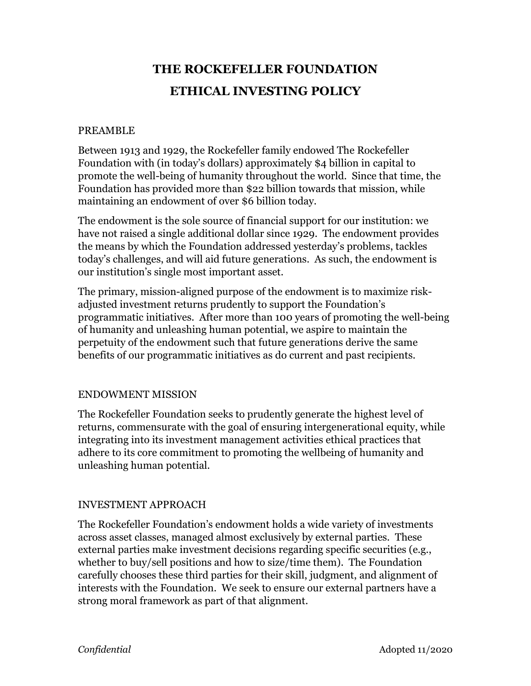# **THE ROCKEFELLER FOUNDATION ETHICAL INVESTING POLICY**

### PREAMBLE

Between 1913 and 1929, the Rockefeller family endowed The Rockefeller Foundation with (in today's dollars) approximately \$4 billion in capital to promote the well-being of humanity throughout the world. Since that time, the Foundation has provided more than \$22 billion towards that mission, while maintaining an endowment of over \$6 billion today.

The endowment is the sole source of financial support for our institution: we have not raised a single additional dollar since 1929. The endowment provides the means by which the Foundation addressed yesterday's problems, tackles today's challenges, and will aid future generations. As such, the endowment is our institution's single most important asset.

The primary, mission-aligned purpose of the endowment is to maximize riskadjusted investment returns prudently to support the Foundation's programmatic initiatives. After more than 100 years of promoting the well-being of humanity and unleashing human potential, we aspire to maintain the perpetuity of the endowment such that future generations derive the same benefits of our programmatic initiatives as do current and past recipients.

### ENDOWMENT MISSION

The Rockefeller Foundation seeks to prudently generate the highest level of returns, commensurate with the goal of ensuring intergenerational equity, while integrating into its investment management activities ethical practices that adhere to its core commitment to promoting the wellbeing of humanity and unleashing human potential.

### INVESTMENT APPROACH

The Rockefeller Foundation's endowment holds a wide variety of investments across asset classes, managed almost exclusively by external parties. These external parties make investment decisions regarding specific securities (e.g., whether to buy/sell positions and how to size/time them). The Foundation carefully chooses these third parties for their skill, judgment, and alignment of interests with the Foundation. We seek to ensure our external partners have a strong moral framework as part of that alignment.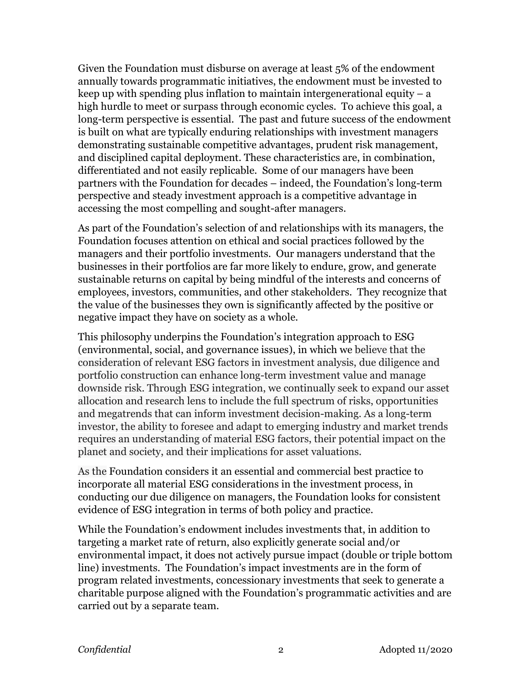Given the Foundation must disburse on average at least 5% of the endowment annually towards programmatic initiatives, the endowment must be invested to keep up with spending plus inflation to maintain intergenerational equity  $- a$ high hurdle to meet or surpass through economic cycles. To achieve this goal, a long-term perspective is essential. The past and future success of the endowment is built on what are typically enduring relationships with investment managers demonstrating sustainable competitive advantages, prudent risk management, and disciplined capital deployment. These characteristics are, in combination, differentiated and not easily replicable. Some of our managers have been partners with the Foundation for decades – indeed, the Foundation's long-term perspective and steady investment approach is a competitive advantage in accessing the most compelling and sought-after managers.

As part of the Foundation's selection of and relationships with its managers, the Foundation focuses attention on ethical and social practices followed by the managers and their portfolio investments. Our managers understand that the businesses in their portfolios are far more likely to endure, grow, and generate sustainable returns on capital by being mindful of the interests and concerns of employees, investors, communities, and other stakeholders. They recognize that the value of the businesses they own is significantly affected by the positive or negative impact they have on society as a whole.

This philosophy underpins the Foundation's integration approach to ESG (environmental, social, and governance issues), in which we believe that the consideration of relevant ESG factors in investment analysis, due diligence and portfolio construction can enhance long-term investment value and manage downside risk. Through ESG integration, we continually seek to expand our asset allocation and research lens to include the full spectrum of risks, opportunities and megatrends that can inform investment decision-making. As a long-term investor, the ability to foresee and adapt to emerging industry and market trends requires an understanding of material ESG factors, their potential impact on the planet and society, and their implications for asset valuations.

As the Foundation considers it an essential and commercial best practice to incorporate all material ESG considerations in the investment process, in conducting our due diligence on managers, the Foundation looks for consistent evidence of ESG integration in terms of both policy and practice.

While the Foundation's endowment includes investments that, in addition to targeting a market rate of return, also explicitly generate social and/or environmental impact, it does not actively pursue impact (double or triple bottom line) investments. The Foundation's impact investments are in the form of program related investments, concessionary investments that seek to generate a charitable purpose aligned with the Foundation's programmatic activities and are carried out by a separate team.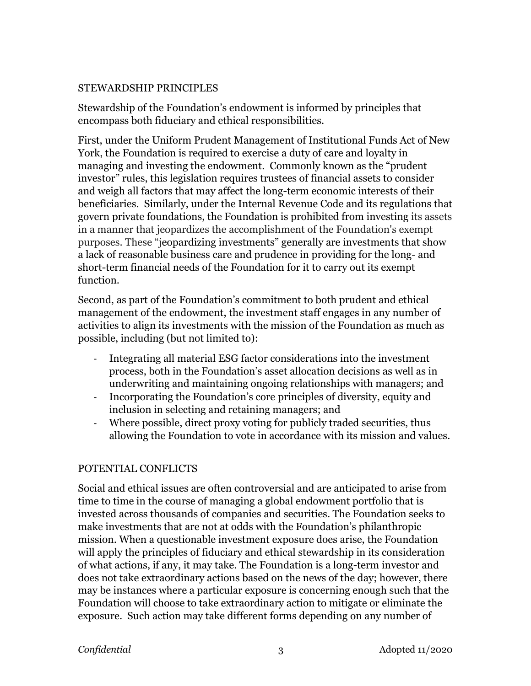### STEWARDSHIP PRINCIPLES

Stewardship of the Foundation's endowment is informed by principles that encompass both fiduciary and ethical responsibilities.

First, under the Uniform Prudent Management of Institutional Funds Act of New York, the Foundation is required to exercise a duty of care and loyalty in managing and investing the endowment. Commonly known as the "prudent investor" rules, this legislation requires trustees of financial assets to consider and weigh all factors that may affect the long-term economic interests of their beneficiaries. Similarly, under the Internal Revenue Code and its regulations that govern private foundations, the Foundation is prohibited from investing its assets in a manner that jeopardizes the accomplishment of the Foundation's exempt purposes. These "jeopardizing investments" generally are investments that show a lack of reasonable business care and prudence in providing for the long- and short-term financial needs of the Foundation for it to carry out its exempt function.

Second, as part of the Foundation's commitment to both prudent and ethical management of the endowment, the investment staff engages in any number of activities to align its investments with the mission of the Foundation as much as possible, including (but not limited to):

- Integrating all material ESG factor considerations into the investment process, both in the Foundation's asset allocation decisions as well as in underwriting and maintaining ongoing relationships with managers; and
- Incorporating the Foundation's core principles of diversity, equity and inclusion in selecting and retaining managers; and
- Where possible, direct proxy voting for publicly traded securities, thus allowing the Foundation to vote in accordance with its mission and values.

## POTENTIAL CONFLICTS

Social and ethical issues are often controversial and are anticipated to arise from time to time in the course of managing a global endowment portfolio that is invested across thousands of companies and securities. The Foundation seeks to make investments that are not at odds with the Foundation's philanthropic mission. When a questionable investment exposure does arise, the Foundation will apply the principles of fiduciary and ethical stewardship in its consideration of what actions, if any, it may take. The Foundation is a long-term investor and does not take extraordinary actions based on the news of the day; however, there may be instances where a particular exposure is concerning enough such that the Foundation will choose to take extraordinary action to mitigate or eliminate the exposure. Such action may take different forms depending on any number of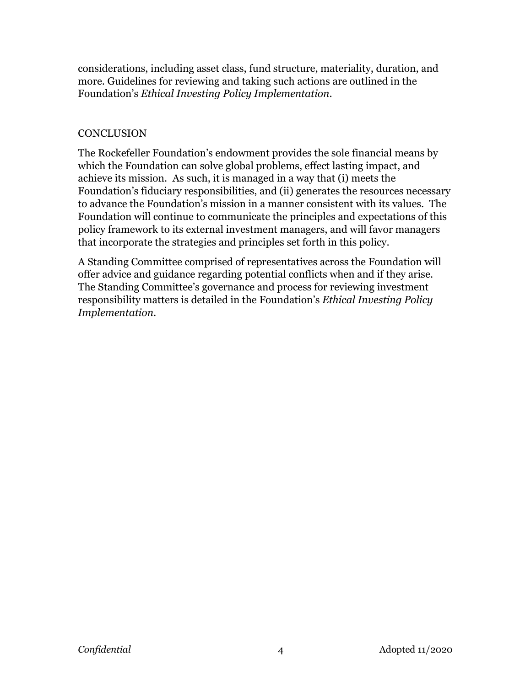considerations, including asset class, fund structure, materiality, duration, and more. Guidelines for reviewing and taking such actions are outlined in the Foundation's *Ethical Investing Policy Implementation*.

### **CONCLUSION**

The Rockefeller Foundation's endowment provides the sole financial means by which the Foundation can solve global problems, effect lasting impact, and achieve its mission.As such, it is managed in a way that (i) meets the Foundation's fiduciary responsibilities, and (ii) generates the resources necessary to advance the Foundation's mission in a manner consistent with its values. The Foundation will continue to communicate the principles and expectations of this policy framework to its external investment managers, and will favor managers that incorporate the strategies and principles set forth in this policy.

A Standing Committee comprised of representatives across the Foundation will offer advice and guidance regarding potential conflicts when and if they arise. The Standing Committee's governance and process for reviewing investment responsibility matters is detailed in the Foundation's *Ethical Investing Policy Implementation*.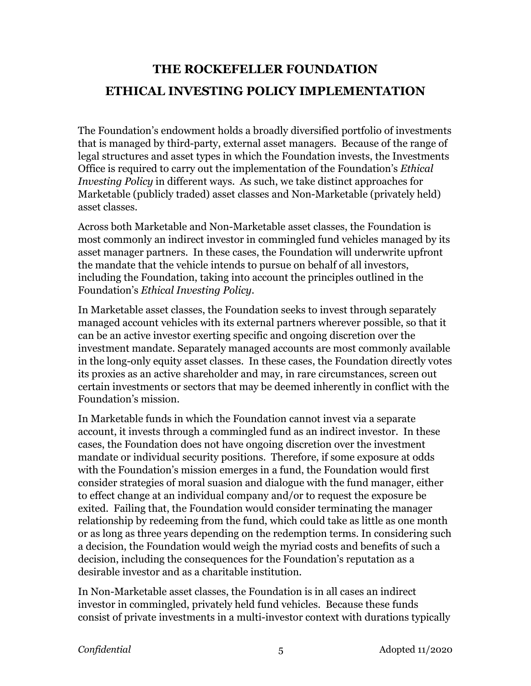## **THE ROCKEFELLER FOUNDATION ETHICAL INVESTING POLICY IMPLEMENTATION**

The Foundation's endowment holds a broadly diversified portfolio of investments that is managed by third-party, external asset managers. Because of the range of legal structures and asset types in which the Foundation invests, the Investments Office is required to carry out the implementation of the Foundation's *Ethical Investing Policy* in different ways. As such, we take distinct approaches for Marketable (publicly traded) asset classes and Non-Marketable (privately held) asset classes.

Across both Marketable and Non-Marketable asset classes, the Foundation is most commonly an indirect investor in commingled fund vehicles managed by its asset manager partners. In these cases, the Foundation will underwrite upfront the mandate that the vehicle intends to pursue on behalf of all investors, including the Foundation, taking into account the principles outlined in the Foundation's *Ethical Investing Policy*.

In Marketable asset classes, the Foundation seeks to invest through separately managed account vehicles with its external partners wherever possible, so that it can be an active investor exerting specific and ongoing discretion over the investment mandate. Separately managed accounts are most commonly available in the long-only equity asset classes. In these cases, the Foundation directly votes its proxies as an active shareholder and may, in rare circumstances, screen out certain investments or sectors that may be deemed inherently in conflict with the Foundation's mission.

In Marketable funds in which the Foundation cannot invest via a separate account, it invests through a commingled fund as an indirect investor. In these cases, the Foundation does not have ongoing discretion over the investment mandate or individual security positions. Therefore, if some exposure at odds with the Foundation's mission emerges in a fund, the Foundation would first consider strategies of moral suasion and dialogue with the fund manager, either to effect change at an individual company and/or to request the exposure be exited. Failing that, the Foundation would consider terminating the manager relationship by redeeming from the fund, which could take as little as one month or as long as three years depending on the redemption terms. In considering such a decision, the Foundation would weigh the myriad costs and benefits of such a decision, including the consequences for the Foundation's reputation as a desirable investor and as a charitable institution.

In Non-Marketable asset classes, the Foundation is in all cases an indirect investor in commingled, privately held fund vehicles. Because these funds consist of private investments in a multi-investor context with durations typically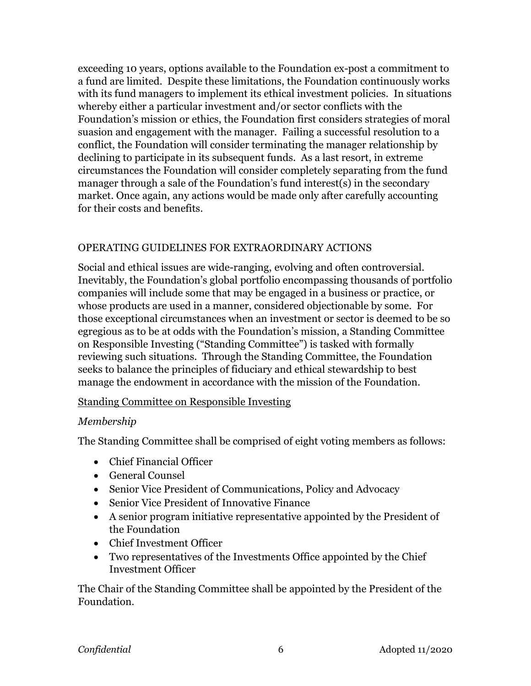exceeding 10 years, options available to the Foundation ex-post a commitment to a fund are limited. Despite these limitations, the Foundation continuously works with its fund managers to implement its ethical investment policies. In situations whereby either a particular investment and/or sector conflicts with the Foundation's mission or ethics, the Foundation first considers strategies of moral suasion and engagement with the manager. Failing a successful resolution to a conflict, the Foundation will consider terminating the manager relationship by declining to participate in its subsequent funds. As a last resort, in extreme circumstances the Foundation will consider completely separating from the fund manager through a sale of the Foundation's fund interest(s) in the secondary market. Once again, any actions would be made only after carefully accounting for their costs and benefits.

### OPERATING GUIDELINES FOR EXTRAORDINARY ACTIONS

Social and ethical issues are wide-ranging, evolving and often controversial. Inevitably, the Foundation's global portfolio encompassing thousands of portfolio companies will include some that may be engaged in a business or practice, or whose products are used in a manner, considered objectionable by some. For those exceptional circumstances when an investment or sector is deemed to be so egregious as to be at odds with the Foundation's mission, a Standing Committee on Responsible Investing ("Standing Committee") is tasked with formally reviewing such situations. Through the Standing Committee, the Foundation seeks to balance the principles of fiduciary and ethical stewardship to best manage the endowment in accordance with the mission of the Foundation.

### Standing Committee on Responsible Investing

### *Membership*

The Standing Committee shall be comprised of eight voting members as follows:

- Chief Financial Officer
- General Counsel
- Senior Vice President of Communications, Policy and Advocacy
- Senior Vice President of Innovative Finance
- A senior program initiative representative appointed by the President of the Foundation
- Chief Investment Officer
- Two representatives of the Investments Office appointed by the Chief Investment Officer

The Chair of the Standing Committee shall be appointed by the President of the Foundation.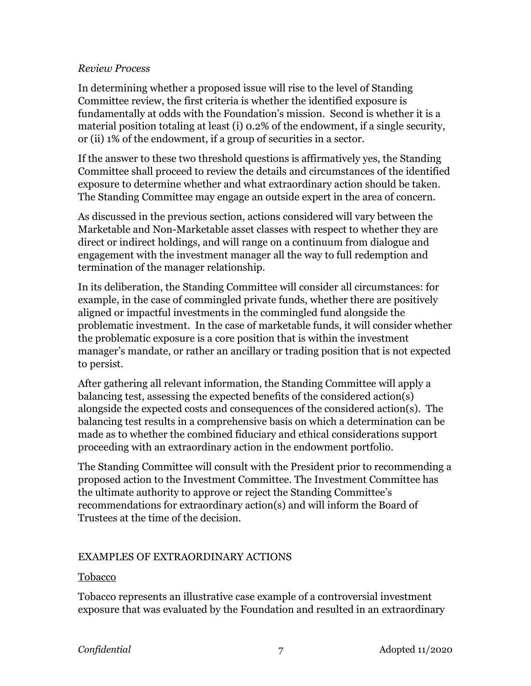### *Review Process*

In determining whether a proposed issue will rise to the level of Standing Committee review, the first criteria is whether the identified exposure is fundamentally at odds with the Foundation's mission. Second is whether it is a material position totaling at least (i) 0.2% of the endowment, if a single security, or (ii) 1% of the endowment, if a group of securities in a sector.

If the answer to these two threshold questions is affirmatively yes, the Standing Committee shall proceed to review the details and circumstances of the identified exposure to determine whether and what extraordinary action should be taken. The Standing Committee may engage an outside expert in the area of concern.

As discussed in the previous section, actions considered will vary between the Marketable and Non-Marketable asset classes with respect to whether they are direct or indirect holdings, and will range on a continuum from dialogue and engagement with the investment manager all the way to full redemption and termination of the manager relationship.

In its deliberation, the Standing Committee will consider all circumstances: for example, in the case of commingled private funds, whether there are positively aligned or impactful investments in the commingled fund alongside the problematic investment. In the case of marketable funds, it will consider whether the problematic exposure is a core position that is within the investment manager's mandate, or rather an ancillary or trading position that is not expected to persist.

After gathering all relevant information, the Standing Committee will apply a balancing test, assessing the expected benefits of the considered action(s) alongside the expected costs and consequences of the considered action(s). The balancing test results in a comprehensive basis on which a determination can be made as to whether the combined fiduciary and ethical considerations support proceeding with an extraordinary action in the endowment portfolio.

The Standing Committee will consult with the President prior to recommending a proposed action to the Investment Committee. The Investment Committee has the ultimate authority to approve or reject the Standing Committee's recommendations for extraordinary action(s) and will inform the Board of Trustees at the time of the decision.

### EXAMPLES OF EXTRAORDINARY ACTIONS

### Tobacco

Tobacco represents an illustrative case example of a controversial investment exposure that was evaluated by the Foundation and resulted in an extraordinary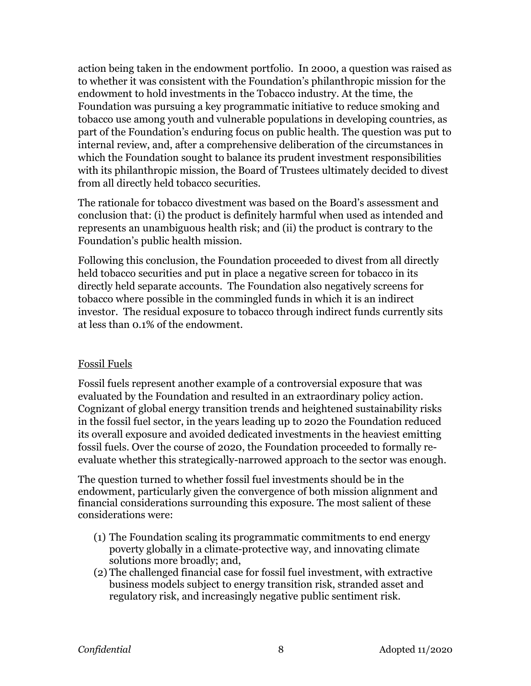action being taken in the endowment portfolio. In 2000, a question was raised as to whether it was consistent with the Foundation's philanthropic mission for the endowment to hold investments in the Tobacco industry. At the time, the Foundation was pursuing a key programmatic initiative to reduce smoking and tobacco use among youth and vulnerable populations in developing countries, as part of the Foundation's enduring focus on public health. The question was put to internal review, and, after a comprehensive deliberation of the circumstances in which the Foundation sought to balance its prudent investment responsibilities with its philanthropic mission, the Board of Trustees ultimately decided to divest from all directly held tobacco securities.

The rationale for tobacco divestment was based on the Board's assessment and conclusion that: (i) the product is definitely harmful when used as intended and represents an unambiguous health risk; and (ii) the product is contrary to the Foundation's public health mission.

Following this conclusion, the Foundation proceeded to divest from all directly held tobacco securities and put in place a negative screen for tobacco in its directly held separate accounts. The Foundation also negatively screens for tobacco where possible in the commingled funds in which it is an indirect investor. The residual exposure to tobacco through indirect funds currently sits at less than 0.1% of the endowment.

### Fossil Fuels

Fossil fuels represent another example of a controversial exposure that was evaluated by the Foundation and resulted in an extraordinary policy action. Cognizant of global energy transition trends and heightened sustainability risks in the fossil fuel sector, in the years leading up to 2020 the Foundation reduced its overall exposure and avoided dedicated investments in the heaviest emitting fossil fuels. Over the course of 2020, the Foundation proceeded to formally reevaluate whether this strategically-narrowed approach to the sector was enough.

The question turned to whether fossil fuel investments should be in the endowment, particularly given the convergence of both mission alignment and financial considerations surrounding this exposure. The most salient of these considerations were:

- (1) The Foundation scaling its programmatic commitments to end energy poverty globally in a climate-protective way, and innovating climate solutions more broadly; and,
- (2) The challenged financial case for fossil fuel investment, with extractive business models subject to energy transition risk, stranded asset and regulatory risk, and increasingly negative public sentiment risk.